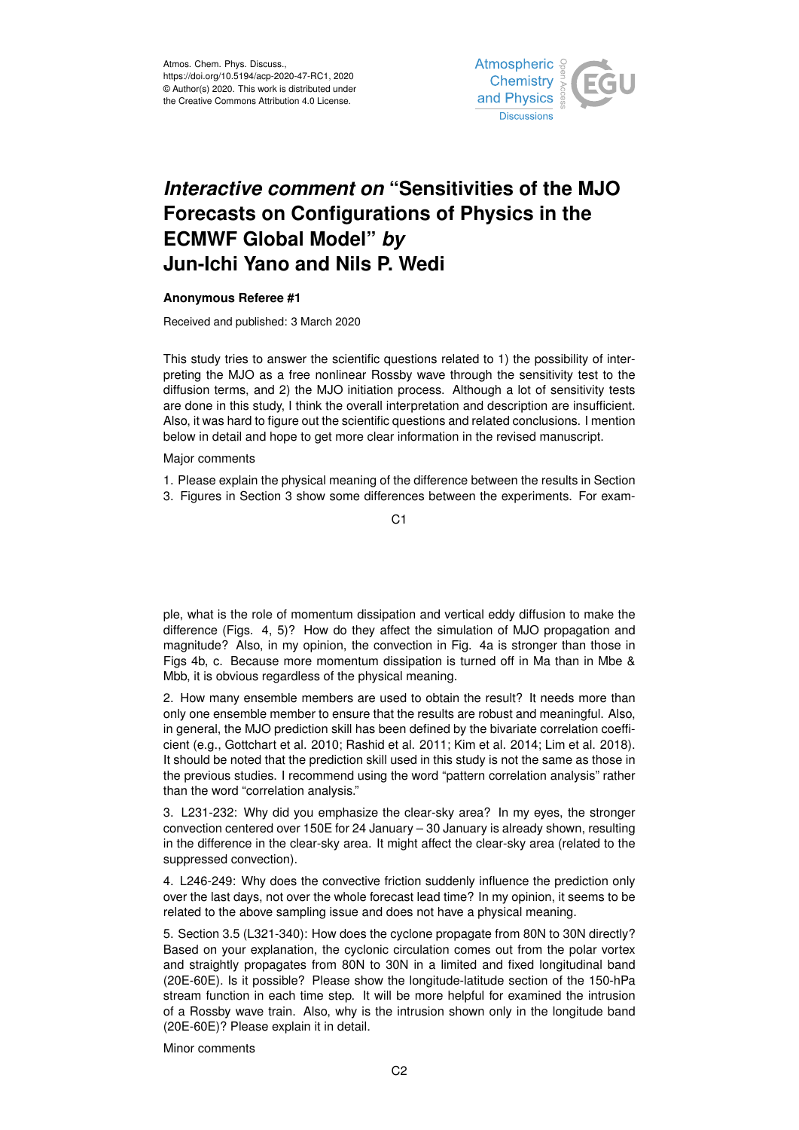

## *Interactive comment on* **"Sensitivities of the MJO Forecasts on Configurations of Physics in the ECMWF Global Model"** *by* **Jun-Ichi Yano and Nils P. Wedi**

## **Anonymous Referee #1**

Received and published: 3 March 2020

This study tries to answer the scientific questions related to 1) the possibility of interpreting the MJO as a free nonlinear Rossby wave through the sensitivity test to the diffusion terms, and 2) the MJO initiation process. Although a lot of sensitivity tests are done in this study, I think the overall interpretation and description are insufficient. Also, it was hard to figure out the scientific questions and related conclusions. I mention below in detail and hope to get more clear information in the revised manuscript.

Major comments

1. Please explain the physical meaning of the difference between the results in Section 3. Figures in Section 3 show some differences between the experiments. For exam-

C<sub>1</sub>

ple, what is the role of momentum dissipation and vertical eddy diffusion to make the difference (Figs. 4, 5)? How do they affect the simulation of MJO propagation and magnitude? Also, in my opinion, the convection in Fig. 4a is stronger than those in Figs 4b, c. Because more momentum dissipation is turned off in Ma than in Mbe & Mbb, it is obvious regardless of the physical meaning.

2. How many ensemble members are used to obtain the result? It needs more than only one ensemble member to ensure that the results are robust and meaningful. Also, in general, the MJO prediction skill has been defined by the bivariate correlation coefficient (e.g., Gottchart et al. 2010; Rashid et al. 2011; Kim et al. 2014; Lim et al. 2018). It should be noted that the prediction skill used in this study is not the same as those in the previous studies. I recommend using the word "pattern correlation analysis" rather than the word "correlation analysis."

3. L231-232: Why did you emphasize the clear-sky area? In my eyes, the stronger convection centered over 150E for 24 January – 30 January is already shown, resulting in the difference in the clear-sky area. It might affect the clear-sky area (related to the suppressed convection).

4. L246-249: Why does the convective friction suddenly influence the prediction only over the last days, not over the whole forecast lead time? In my opinion, it seems to be related to the above sampling issue and does not have a physical meaning.

5. Section 3.5 (L321-340): How does the cyclone propagate from 80N to 30N directly? Based on your explanation, the cyclonic circulation comes out from the polar vortex and straightly propagates from 80N to 30N in a limited and fixed longitudinal band (20E-60E). Is it possible? Please show the longitude-latitude section of the 150-hPa stream function in each time step. It will be more helpful for examined the intrusion of a Rossby wave train. Also, why is the intrusion shown only in the longitude band (20E-60E)? Please explain it in detail.

Minor comments